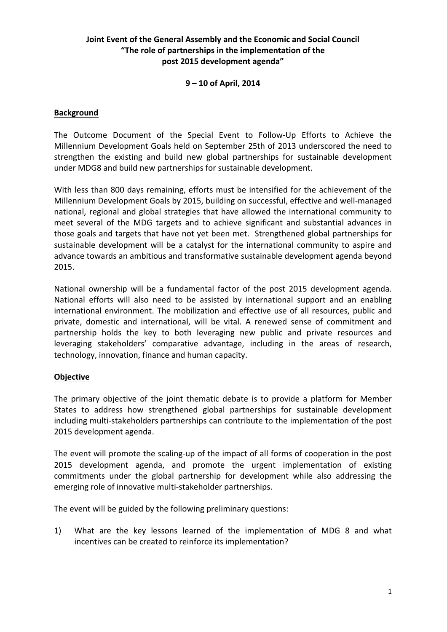# **Joint Event of the General Assembly and the Economic and Social Council "The role of partnerships in the implementation of the post 2015 development agenda"**

# **9 – 10 of April, 2014**

### **Background**

The Outcome Document of the Special Event to Follow-Up Efforts to Achieve the Millennium Development Goals held on September 25th of 2013 underscored the need to strengthen the existing and build new global partnerships for sustainable development under MDG8 and build new partnerships for sustainable development.

With less than 800 days remaining, efforts must be intensified for the achievement of the Millennium Development Goals by 2015, building on successful, effective and well-managed national, regional and global strategies that have allowed the international community to meet several of the MDG targets and to achieve significant and substantial advances in those goals and targets that have not yet been met. Strengthened global partnerships for sustainable development will be a catalyst for the international community to aspire and advance towards an ambitious and transformative sustainable development agenda beyond 2015.

National ownership will be a fundamental factor of the post 2015 development agenda. National efforts will also need to be assisted by international support and an enabling international environment. The mobilization and effective use of all resources, public and private, domestic and international, will be vital. A renewed sense of commitment and partnership holds the key to both leveraging new public and private resources and leveraging stakeholders' comparative advantage, including in the areas of research, technology, innovation, finance and human capacity.

#### **Objective**

The primary objective of the joint thematic debate is to provide a platform for Member States to address how strengthened global partnerships for sustainable development including multi-stakeholders partnerships can contribute to the implementation of the post 2015 development agenda.

The event will promote the scaling-up of the impact of all forms of cooperation in the post 2015 development agenda, and promote the urgent implementation of existing commitments under the global partnership for development while also addressing the emerging role of innovative multi-stakeholder partnerships.

The event will be guided by the following preliminary questions:

1) What are the key lessons learned of the implementation of MDG 8 and what incentives can be created to reinforce its implementation?